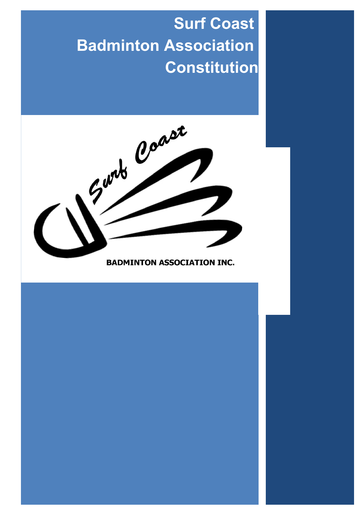# **Surf Coast Badminton Association Constitution**



**BADMINTON ASSOCIATION INC.** 

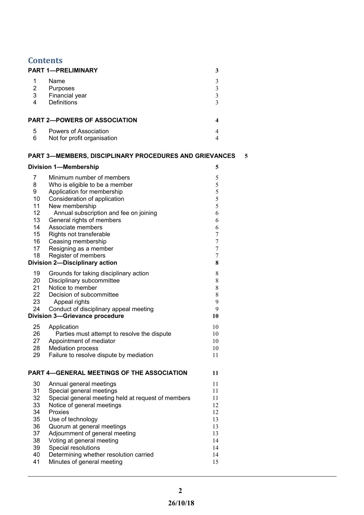| <b>PART 1-PRELIMINARY</b><br>3<br>1<br>Name<br>$\mathfrak{Z}$<br>$\overline{2}$<br>$\mathfrak{Z}$<br>Purposes<br>3 <sup>1</sup><br>Financial year<br>$\mathfrak{Z}$<br><b>Definitions</b><br>4<br>3<br><b>PART 2-POWERS OF ASSOCIATION</b><br>4<br>Powers of Association<br>5<br>4<br>6<br>Not for profit organisation<br>$\overline{4}$<br><b>PART 3-MEMBERS, DISCIPLINARY PROCEDURES AND GRIEVANCES</b><br><b>Division 1-Membership</b><br>5<br>Minimum number of members<br>5<br>7<br>5<br>8<br>Who is eligible to be a member<br>5<br>9<br>Application for membership<br>10<br>5<br>Consideration of application<br>11<br>5<br>New membership<br>12<br>Annual subscription and fee on joining<br>6<br>13<br>General rights of members<br>6<br>14<br>Associate members<br>6<br>15<br>Rights not transferable<br>7<br>16<br>Ceasing membership<br>7<br>17<br>Resigning as a member<br>7<br>18<br>Register of members<br>7<br><b>Division 2-Disciplinary action</b><br>8<br>19<br>Grounds for taking disciplinary action<br>8<br>20<br>Disciplinary subcommittee<br>$\,$ 8 $\,$<br>21<br>Notice to member<br>$\,$ 8 $\,$<br>22<br>$\,$ 8 $\,$<br>Decision of subcommittee<br>23<br>9<br>Appeal rights<br>24<br>Conduct of disciplinary appeal meeting<br>9<br><b>Division 3-Grievance procedure</b><br>10<br>25<br>Application<br>10<br>Parties must attempt to resolve the dispute<br>26<br>10<br>27<br>Appointment of mediator<br>10<br>28<br><b>Mediation process</b><br>10 |
|---------------------------------------------------------------------------------------------------------------------------------------------------------------------------------------------------------------------------------------------------------------------------------------------------------------------------------------------------------------------------------------------------------------------------------------------------------------------------------------------------------------------------------------------------------------------------------------------------------------------------------------------------------------------------------------------------------------------------------------------------------------------------------------------------------------------------------------------------------------------------------------------------------------------------------------------------------------------------------------------------------------------------------------------------------------------------------------------------------------------------------------------------------------------------------------------------------------------------------------------------------------------------------------------------------------------------------------------------------------------------------------------------------------------------------------------------------------------------------|
|                                                                                                                                                                                                                                                                                                                                                                                                                                                                                                                                                                                                                                                                                                                                                                                                                                                                                                                                                                                                                                                                                                                                                                                                                                                                                                                                                                                                                                                                                 |
|                                                                                                                                                                                                                                                                                                                                                                                                                                                                                                                                                                                                                                                                                                                                                                                                                                                                                                                                                                                                                                                                                                                                                                                                                                                                                                                                                                                                                                                                                 |
|                                                                                                                                                                                                                                                                                                                                                                                                                                                                                                                                                                                                                                                                                                                                                                                                                                                                                                                                                                                                                                                                                                                                                                                                                                                                                                                                                                                                                                                                                 |
|                                                                                                                                                                                                                                                                                                                                                                                                                                                                                                                                                                                                                                                                                                                                                                                                                                                                                                                                                                                                                                                                                                                                                                                                                                                                                                                                                                                                                                                                                 |
|                                                                                                                                                                                                                                                                                                                                                                                                                                                                                                                                                                                                                                                                                                                                                                                                                                                                                                                                                                                                                                                                                                                                                                                                                                                                                                                                                                                                                                                                                 |
|                                                                                                                                                                                                                                                                                                                                                                                                                                                                                                                                                                                                                                                                                                                                                                                                                                                                                                                                                                                                                                                                                                                                                                                                                                                                                                                                                                                                                                                                                 |
|                                                                                                                                                                                                                                                                                                                                                                                                                                                                                                                                                                                                                                                                                                                                                                                                                                                                                                                                                                                                                                                                                                                                                                                                                                                                                                                                                                                                                                                                                 |
|                                                                                                                                                                                                                                                                                                                                                                                                                                                                                                                                                                                                                                                                                                                                                                                                                                                                                                                                                                                                                                                                                                                                                                                                                                                                                                                                                                                                                                                                                 |
|                                                                                                                                                                                                                                                                                                                                                                                                                                                                                                                                                                                                                                                                                                                                                                                                                                                                                                                                                                                                                                                                                                                                                                                                                                                                                                                                                                                                                                                                                 |
|                                                                                                                                                                                                                                                                                                                                                                                                                                                                                                                                                                                                                                                                                                                                                                                                                                                                                                                                                                                                                                                                                                                                                                                                                                                                                                                                                                                                                                                                                 |
|                                                                                                                                                                                                                                                                                                                                                                                                                                                                                                                                                                                                                                                                                                                                                                                                                                                                                                                                                                                                                                                                                                                                                                                                                                                                                                                                                                                                                                                                                 |
|                                                                                                                                                                                                                                                                                                                                                                                                                                                                                                                                                                                                                                                                                                                                                                                                                                                                                                                                                                                                                                                                                                                                                                                                                                                                                                                                                                                                                                                                                 |
|                                                                                                                                                                                                                                                                                                                                                                                                                                                                                                                                                                                                                                                                                                                                                                                                                                                                                                                                                                                                                                                                                                                                                                                                                                                                                                                                                                                                                                                                                 |
|                                                                                                                                                                                                                                                                                                                                                                                                                                                                                                                                                                                                                                                                                                                                                                                                                                                                                                                                                                                                                                                                                                                                                                                                                                                                                                                                                                                                                                                                                 |
|                                                                                                                                                                                                                                                                                                                                                                                                                                                                                                                                                                                                                                                                                                                                                                                                                                                                                                                                                                                                                                                                                                                                                                                                                                                                                                                                                                                                                                                                                 |
|                                                                                                                                                                                                                                                                                                                                                                                                                                                                                                                                                                                                                                                                                                                                                                                                                                                                                                                                                                                                                                                                                                                                                                                                                                                                                                                                                                                                                                                                                 |
|                                                                                                                                                                                                                                                                                                                                                                                                                                                                                                                                                                                                                                                                                                                                                                                                                                                                                                                                                                                                                                                                                                                                                                                                                                                                                                                                                                                                                                                                                 |
|                                                                                                                                                                                                                                                                                                                                                                                                                                                                                                                                                                                                                                                                                                                                                                                                                                                                                                                                                                                                                                                                                                                                                                                                                                                                                                                                                                                                                                                                                 |
|                                                                                                                                                                                                                                                                                                                                                                                                                                                                                                                                                                                                                                                                                                                                                                                                                                                                                                                                                                                                                                                                                                                                                                                                                                                                                                                                                                                                                                                                                 |
|                                                                                                                                                                                                                                                                                                                                                                                                                                                                                                                                                                                                                                                                                                                                                                                                                                                                                                                                                                                                                                                                                                                                                                                                                                                                                                                                                                                                                                                                                 |
|                                                                                                                                                                                                                                                                                                                                                                                                                                                                                                                                                                                                                                                                                                                                                                                                                                                                                                                                                                                                                                                                                                                                                                                                                                                                                                                                                                                                                                                                                 |
|                                                                                                                                                                                                                                                                                                                                                                                                                                                                                                                                                                                                                                                                                                                                                                                                                                                                                                                                                                                                                                                                                                                                                                                                                                                                                                                                                                                                                                                                                 |
|                                                                                                                                                                                                                                                                                                                                                                                                                                                                                                                                                                                                                                                                                                                                                                                                                                                                                                                                                                                                                                                                                                                                                                                                                                                                                                                                                                                                                                                                                 |
|                                                                                                                                                                                                                                                                                                                                                                                                                                                                                                                                                                                                                                                                                                                                                                                                                                                                                                                                                                                                                                                                                                                                                                                                                                                                                                                                                                                                                                                                                 |
|                                                                                                                                                                                                                                                                                                                                                                                                                                                                                                                                                                                                                                                                                                                                                                                                                                                                                                                                                                                                                                                                                                                                                                                                                                                                                                                                                                                                                                                                                 |
|                                                                                                                                                                                                                                                                                                                                                                                                                                                                                                                                                                                                                                                                                                                                                                                                                                                                                                                                                                                                                                                                                                                                                                                                                                                                                                                                                                                                                                                                                 |
|                                                                                                                                                                                                                                                                                                                                                                                                                                                                                                                                                                                                                                                                                                                                                                                                                                                                                                                                                                                                                                                                                                                                                                                                                                                                                                                                                                                                                                                                                 |
|                                                                                                                                                                                                                                                                                                                                                                                                                                                                                                                                                                                                                                                                                                                                                                                                                                                                                                                                                                                                                                                                                                                                                                                                                                                                                                                                                                                                                                                                                 |
|                                                                                                                                                                                                                                                                                                                                                                                                                                                                                                                                                                                                                                                                                                                                                                                                                                                                                                                                                                                                                                                                                                                                                                                                                                                                                                                                                                                                                                                                                 |
|                                                                                                                                                                                                                                                                                                                                                                                                                                                                                                                                                                                                                                                                                                                                                                                                                                                                                                                                                                                                                                                                                                                                                                                                                                                                                                                                                                                                                                                                                 |
|                                                                                                                                                                                                                                                                                                                                                                                                                                                                                                                                                                                                                                                                                                                                                                                                                                                                                                                                                                                                                                                                                                                                                                                                                                                                                                                                                                                                                                                                                 |
|                                                                                                                                                                                                                                                                                                                                                                                                                                                                                                                                                                                                                                                                                                                                                                                                                                                                                                                                                                                                                                                                                                                                                                                                                                                                                                                                                                                                                                                                                 |
|                                                                                                                                                                                                                                                                                                                                                                                                                                                                                                                                                                                                                                                                                                                                                                                                                                                                                                                                                                                                                                                                                                                                                                                                                                                                                                                                                                                                                                                                                 |
|                                                                                                                                                                                                                                                                                                                                                                                                                                                                                                                                                                                                                                                                                                                                                                                                                                                                                                                                                                                                                                                                                                                                                                                                                                                                                                                                                                                                                                                                                 |
|                                                                                                                                                                                                                                                                                                                                                                                                                                                                                                                                                                                                                                                                                                                                                                                                                                                                                                                                                                                                                                                                                                                                                                                                                                                                                                                                                                                                                                                                                 |
|                                                                                                                                                                                                                                                                                                                                                                                                                                                                                                                                                                                                                                                                                                                                                                                                                                                                                                                                                                                                                                                                                                                                                                                                                                                                                                                                                                                                                                                                                 |
| 29<br>Failure to resolve dispute by mediation<br>11                                                                                                                                                                                                                                                                                                                                                                                                                                                                                                                                                                                                                                                                                                                                                                                                                                                                                                                                                                                                                                                                                                                                                                                                                                                                                                                                                                                                                             |
| PART 4-GENERAL MEETINGS OF THE ASSOCIATION<br>11                                                                                                                                                                                                                                                                                                                                                                                                                                                                                                                                                                                                                                                                                                                                                                                                                                                                                                                                                                                                                                                                                                                                                                                                                                                                                                                                                                                                                                |
|                                                                                                                                                                                                                                                                                                                                                                                                                                                                                                                                                                                                                                                                                                                                                                                                                                                                                                                                                                                                                                                                                                                                                                                                                                                                                                                                                                                                                                                                                 |
| 30<br>11<br>Annual general meetings                                                                                                                                                                                                                                                                                                                                                                                                                                                                                                                                                                                                                                                                                                                                                                                                                                                                                                                                                                                                                                                                                                                                                                                                                                                                                                                                                                                                                                             |
| 31<br>Special general meetings<br>11                                                                                                                                                                                                                                                                                                                                                                                                                                                                                                                                                                                                                                                                                                                                                                                                                                                                                                                                                                                                                                                                                                                                                                                                                                                                                                                                                                                                                                            |
| 32<br>Special general meeting held at request of members<br>11<br>12                                                                                                                                                                                                                                                                                                                                                                                                                                                                                                                                                                                                                                                                                                                                                                                                                                                                                                                                                                                                                                                                                                                                                                                                                                                                                                                                                                                                            |
| 33<br>Notice of general meetings<br>34<br>12<br>Proxies                                                                                                                                                                                                                                                                                                                                                                                                                                                                                                                                                                                                                                                                                                                                                                                                                                                                                                                                                                                                                                                                                                                                                                                                                                                                                                                                                                                                                         |
| 35<br>Use of technology<br>13                                                                                                                                                                                                                                                                                                                                                                                                                                                                                                                                                                                                                                                                                                                                                                                                                                                                                                                                                                                                                                                                                                                                                                                                                                                                                                                                                                                                                                                   |
|                                                                                                                                                                                                                                                                                                                                                                                                                                                                                                                                                                                                                                                                                                                                                                                                                                                                                                                                                                                                                                                                                                                                                                                                                                                                                                                                                                                                                                                                                 |
|                                                                                                                                                                                                                                                                                                                                                                                                                                                                                                                                                                                                                                                                                                                                                                                                                                                                                                                                                                                                                                                                                                                                                                                                                                                                                                                                                                                                                                                                                 |
| 36<br>Quorum at general meetings<br>13                                                                                                                                                                                                                                                                                                                                                                                                                                                                                                                                                                                                                                                                                                                                                                                                                                                                                                                                                                                                                                                                                                                                                                                                                                                                                                                                                                                                                                          |
| 37<br>Adjournment of general meeting<br>13                                                                                                                                                                                                                                                                                                                                                                                                                                                                                                                                                                                                                                                                                                                                                                                                                                                                                                                                                                                                                                                                                                                                                                                                                                                                                                                                                                                                                                      |
| 38<br>Voting at general meeting<br>14                                                                                                                                                                                                                                                                                                                                                                                                                                                                                                                                                                                                                                                                                                                                                                                                                                                                                                                                                                                                                                                                                                                                                                                                                                                                                                                                                                                                                                           |
| 39<br>Special resolutions<br>14<br>40<br>Determining whether resolution carried<br>14                                                                                                                                                                                                                                                                                                                                                                                                                                                                                                                                                                                                                                                                                                                                                                                                                                                                                                                                                                                                                                                                                                                                                                                                                                                                                                                                                                                           |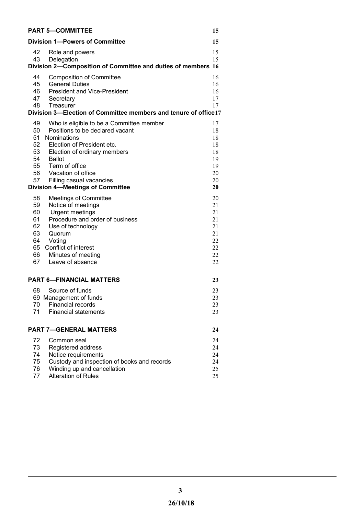| <b>PART 5-COMMITTEE</b>                                                                                                                                                                                                                                                                                                               | 15                                                       |
|---------------------------------------------------------------------------------------------------------------------------------------------------------------------------------------------------------------------------------------------------------------------------------------------------------------------------------------|----------------------------------------------------------|
| <b>Division 1-Powers of Committee</b>                                                                                                                                                                                                                                                                                                 | 15                                                       |
| 42<br>Role and powers<br>43<br>Delegation<br>Division 2-Composition of Committee and duties of members 16                                                                                                                                                                                                                             | 15<br>15                                                 |
| <b>Composition of Committee</b><br>44<br>45<br><b>General Duties</b><br>46<br><b>President and Vice-President</b><br>47<br>Secretary<br>48<br>Treasurer<br>Division 3-Election of Committee members and tenure of office17                                                                                                            | 16<br>16<br>16<br>17<br>17                               |
| 49<br>Who is eligible to be a Committee member<br>Positions to be declared vacant<br>50<br>51<br>Nominations<br>52 Election of President etc.<br>53<br>Election of ordinary members<br>54<br><b>Ballot</b><br>55 Term of office<br>56 Vacation of office<br>57<br>Filling casual vacancies<br><b>Division 4-Meetings of Committee</b> | 17<br>18<br>18<br>18<br>18<br>19<br>19<br>20<br>20<br>20 |
| 58<br><b>Meetings of Committee</b><br>59<br>Notice of meetings<br>60<br>Urgent meetings<br>Procedure and order of business<br>61<br>62<br>Use of technology<br>63<br>Quorum<br>64<br>Voting<br>65 Conflict of interest<br>66 —<br>Minutes of meeting<br>Leave of absence<br>67                                                        | 20<br>21<br>21<br>21<br>21<br>21<br>22<br>22<br>22<br>22 |
| <b>PART 6-FINANCIAL MATTERS</b>                                                                                                                                                                                                                                                                                                       | 23                                                       |
| 68<br>Source of funds<br>69 Management of funds<br>70<br><b>Financial records</b><br>71<br><b>Financial statements</b>                                                                                                                                                                                                                | 23<br>23<br>23<br>23                                     |
| <b>PART 7-GENERAL MATTERS</b>                                                                                                                                                                                                                                                                                                         | 24                                                       |
| 72<br>Common seal<br>73<br>Registered address<br>74<br>Notice requirements<br>75<br>Custody and inspection of books and records<br>76<br>Winding up and cancellation<br><b>Alteration of Rules</b><br>77                                                                                                                              | 24<br>24<br>24<br>24<br>25<br>25                         |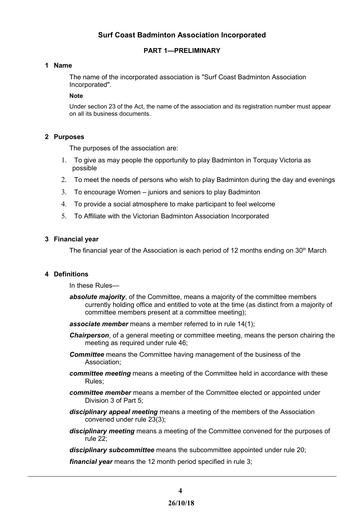# **Surf Coast Badminton Association Incorporated**

# <span id="page-3-4"></span>**PART 1—PRELIMINARY**

## <span id="page-3-3"></span>**1 Name**

The name of the incorporated association is "Surf Coast Badminton Association Incorporated".

#### **Note**

Under section 23 of the Act, the name of the association and its registration number must appear on all its business documents.

## <span id="page-3-2"></span>**2 Purposes**

The purposes of the association are:

- 1. To give as may people the opportunity to play Badminton in Torquay Victoria as possible
- 2. To meet the needs of persons who wish to play Badminton during the day and evenings
- 3. To encourage Women juniors and seniors to play Badminton
- 4. To provide a social atmosphere to make participant to feel welcome
- 5. To Affiliate with the Victorian Badminton Association Incorporated

## <span id="page-3-1"></span>**3 Financial year**

The financial year of the Association is each period of 12 months ending on  $30<sup>th</sup>$  March

## <span id="page-3-0"></span>**4 Definitions**

In these Rules—

- *absolute majority*, of the Committee, means a majority of the committee members currently holding office and entitled to vote at the time (as distinct from a majority of committee members present at a committee meeting);
- *associate member* means a member referred to in rule 14(1);
- *Chairperson*, of a general meeting or committee meeting, means the person chairing the meeting as required under rule 46;
- *Committee* means the Committee having management of the business of the Association;
- *committee meeting* means a meeting of the Committee held in accordance with these Rules;
- *committee member* means a member of the Committee elected or appointed under Division 3 of Part 5;
- *disciplinary appeal meeting* means a meeting of the members of the Association convened under rule 23(3);
- *disciplinary meeting* means a meeting of the Committee convened for the purposes of rule 22;
- *disciplinary subcommittee* means the subcommittee appointed under rule 20;

*financial year* means the 12 month period specified in rule 3;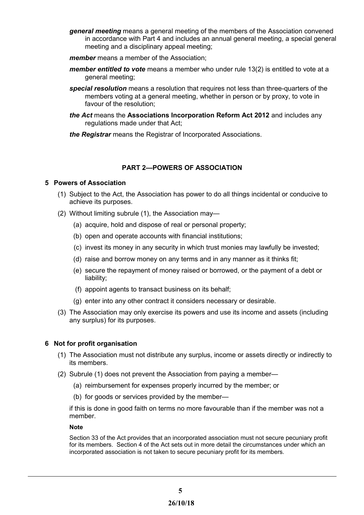- *general meeting* means a general meeting of the members of the Association convened in accordance with Part 4 and includes an annual general meeting, a special general meeting and a disciplinary appeal meeting;
- *member* means a member of the Association;
- *member entitled to vote* means a member who under rule 13(2) is entitled to vote at a general meeting;
- *special resolution* means a resolution that requires not less than three-quarters of the members voting at a general meeting, whether in person or by proxy, to vote in favour of the resolution;
- *the Act* means the **Associations Incorporation Reform Act 2012** and includes any regulations made under that Act;
- *the Registrar* means the Registrar of Incorporated Associations.

# <span id="page-4-3"></span>**PART 2—POWERS OF ASSOCIATION**

# <span id="page-4-2"></span>**5 Powers of Association**

- (1) Subject to the Act, the Association has power to do all things incidental or conducive to achieve its purposes.
- (2) Without limiting subrule (1), the Association may—
	- (a) acquire, hold and dispose of real or personal property;
	- (b) open and operate accounts with financial institutions;
	- (c) invest its money in any security in which trust monies may lawfully be invested;
	- (d) raise and borrow money on any terms and in any manner as it thinks fit;
	- (e) secure the repayment of money raised or borrowed, or the payment of a debt or liability;
	- (f) appoint agents to transact business on its behalf;
	- (g) enter into any other contract it considers necessary or desirable.
- (3) The Association may only exercise its powers and use its income and assets (including any surplus) for its purposes.

# <span id="page-4-1"></span>**6 Not for profit organisation**

- (1) The Association must not distribute any surplus, income or assets directly or indirectly to its members.
- (2) Subrule (1) does not prevent the Association from paying a member—
	- (a) reimbursement for expenses properly incurred by the member; or
	- (b) for goods or services provided by the member—

if this is done in good faith on terms no more favourable than if the member was not a member.

#### **Note**

<span id="page-4-0"></span>Section 33 of the Act provides that an incorporated association must not secure pecuniary profit for its members. Section 4 of the Act sets out in more detail the circumstances under which an incorporated association is not taken to secure pecuniary profit for its members.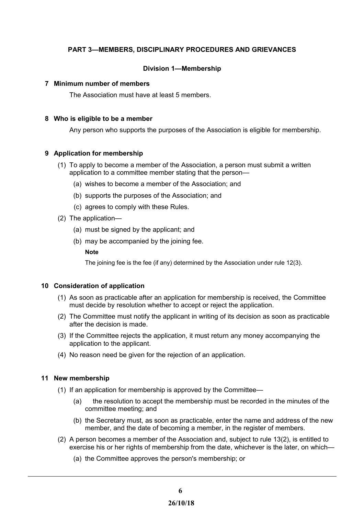# **PART 3—MEMBERS, DISCIPLINARY PROCEDURES AND GRIEVANCES**

# <span id="page-5-5"></span>**Division 1—Membership**

## <span id="page-5-4"></span>**7 Minimum number of members**

The Association must have at least 5 members.

## <span id="page-5-3"></span>**8 Who is eligible to be a member**

Any person who supports the purposes of the Association is eligible for membership.

# <span id="page-5-2"></span>**9 Application for membership**

- (1) To apply to become a member of the Association, a person must submit a written application to a committee member stating that the person—
	- (a) wishes to become a member of the Association; and
	- (b) supports the purposes of the Association; and
	- (c) agrees to comply with these Rules.
- (2) The application—
	- (a) must be signed by the applicant; and
	- (b) may be accompanied by the joining fee.

#### **Note**

The joining fee is the fee (if any) determined by the Association under rule 12(3).

# <span id="page-5-1"></span>**10 Consideration of application**

- (1) As soon as practicable after an application for membership is received, the Committee must decide by resolution whether to accept or reject the application.
- (2) The Committee must notify the applicant in writing of its decision as soon as practicable after the decision is made.
- (3) If the Committee rejects the application, it must return any money accompanying the application to the applicant.
- (4) No reason need be given for the rejection of an application.

# <span id="page-5-0"></span>**11 New membership**

- (1) If an application for membership is approved by the Committee—
	- (a) the resolution to accept the membership must be recorded in the minutes of the committee meeting; and
	- (b) the Secretary must, as soon as practicable, enter the name and address of the new member, and the date of becoming a member, in the register of members.
- (2) A person becomes a member of the Association and, subject to rule 13(2), is entitled to exercise his or her rights of membership from the date, whichever is the later, on which—
	- (a) the Committee approves the person's membership; or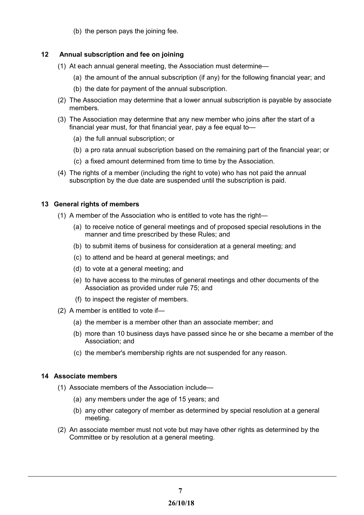(b) the person pays the joining fee.

# <span id="page-6-1"></span> **12 Annual subscription and fee on joining**

- (1) At each annual general meeting, the Association must determine—
	- (a) the amount of the annual subscription (if any) for the following financial year; and
	- (b) the date for payment of the annual subscription.
- (2) The Association may determine that a lower annual subscription is payable by associate members.
- (3) The Association may determine that any new member who joins after the start of a financial year must, for that financial year, pay a fee equal to—
	- (a) the full annual subscription; or
	- (b) a pro rata annual subscription based on the remaining part of the financial year; or
	- (c) a fixed amount determined from time to time by the Association.
- (4) The rights of a member (including the right to vote) who has not paid the annual subscription by the due date are suspended until the subscription is paid.

# <span id="page-6-2"></span>**13 General rights of members**

- (1) A member of the Association who is entitled to vote has the right—
	- (a) to receive notice of general meetings and of proposed special resolutions in the manner and time prescribed by these Rules; and
	- (b) to submit items of business for consideration at a general meeting; and
	- (c) to attend and be heard at general meetings; and
	- (d) to vote at a general meeting; and
	- (e) to have access to the minutes of general meetings and other documents of the Association as provided under rule 75; and
	- (f) to inspect the register of members.
- (2) A member is entitled to vote if—
	- (a) the member is a member other than an associate member; and
	- (b) more than 10 business days have passed since he or she became a member of the Association; and
	- (c) the member's membership rights are not suspended for any reason.

# <span id="page-6-0"></span>**14 Associate members**

- (1) Associate members of the Association include—
	- (a) any members under the age of 15 years; and
	- (b) any other category of member as determined by special resolution at a general meeting.
- (2) An associate member must not vote but may have other rights as determined by the Committee or by resolution at a general meeting.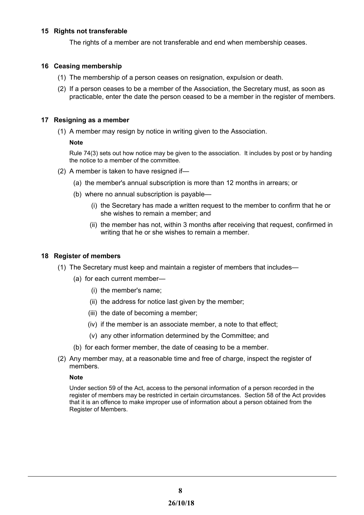# <span id="page-7-4"></span>**15 Rights not transferable**

The rights of a member are not transferable and end when membership ceases.

## <span id="page-7-3"></span> **16 Ceasing membership**

- (1) The membership of a person ceases on resignation, expulsion or death.
- (2) If a person ceases to be a member of the Association, the Secretary must, as soon as practicable, enter the date the person ceased to be a member in the register of members.

## <span id="page-7-2"></span>**17 Resigning as a member**

(1) A member may resign by notice in writing given to the Association.

## **Note**

Rule 74(3) sets out how notice may be given to the association. It includes by post or by handing the notice to a member of the committee.

- (2) A member is taken to have resigned if—
	- (a) the member's annual subscription is more than 12 months in arrears; or
	- (b) where no annual subscription is payable—
		- (i) the Secretary has made a written request to the member to confirm that he or she wishes to remain a member; and
		- (ii) the member has not, within 3 months after receiving that request, confirmed in writing that he or she wishes to remain a member.

#### <span id="page-7-1"></span>**18 Register of members**

- (1) The Secretary must keep and maintain a register of members that includes—
	- (a) for each current member—
		- (i) the member's name;
		- (ii) the address for notice last given by the member;
		- (iii) the date of becoming a member;
		- (iv) if the member is an associate member, a note to that effect;
		- (v) any other information determined by the Committee; and
	- (b) for each former member, the date of ceasing to be a member.
- (2) Any member may, at a reasonable time and free of charge, inspect the register of members.

#### **Note**

<span id="page-7-0"></span>Under section 59 of the Act, access to the personal information of a person recorded in the register of members may be restricted in certain circumstances. Section 58 of the Act provides that it is an offence to make improper use of information about a person obtained from the Register of Members.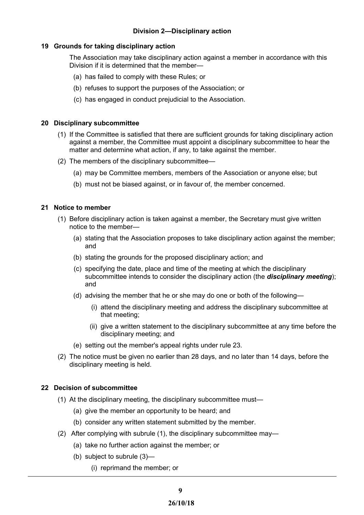# **Division 2—Disciplinary action**

# <span id="page-8-3"></span>**19 Grounds for taking disciplinary action**

The Association may take disciplinary action against a member in accordance with this Division if it is determined that the member—

- (a) has failed to comply with these Rules; or
- (b) refuses to support the purposes of the Association; or
- (c) has engaged in conduct prejudicial to the Association.

## <span id="page-8-2"></span>**20 Disciplinary subcommittee**

- (1) If the Committee is satisfied that there are sufficient grounds for taking disciplinary action against a member, the Committee must appoint a disciplinary subcommittee to hear the matter and determine what action, if any, to take against the member.
- (2) The members of the disciplinary subcommittee—
	- (a) may be Committee members, members of the Association or anyone else; but
	- (b) must not be biased against, or in favour of, the member concerned.

## <span id="page-8-1"></span>**21 Notice to member**

- (1) Before disciplinary action is taken against a member, the Secretary must give written notice to the member—
	- (a) stating that the Association proposes to take disciplinary action against the member; and
	- (b) stating the grounds for the proposed disciplinary action; and
	- (c) specifying the date, place and time of the meeting at which the disciplinary subcommittee intends to consider the disciplinary action (the *disciplinary meeting*); and
	- (d) advising the member that he or she may do one or both of the following—
		- (i) attend the disciplinary meeting and address the disciplinary subcommittee at that meeting;
		- (ii) give a written statement to the disciplinary subcommittee at any time before the disciplinary meeting; and
	- (e) setting out the member's appeal rights under rule 23.
- (2) The notice must be given no earlier than 28 days, and no later than 14 days, before the disciplinary meeting is held.

# <span id="page-8-0"></span>**22 Decision of subcommittee**

- (1) At the disciplinary meeting, the disciplinary subcommittee must—
	- (a) give the member an opportunity to be heard; and
	- (b) consider any written statement submitted by the member.
- (2) After complying with subrule (1), the disciplinary subcommittee may—
	- (a) take no further action against the member; or
	- (b) subject to subrule (3)—
		- (i) reprimand the member; or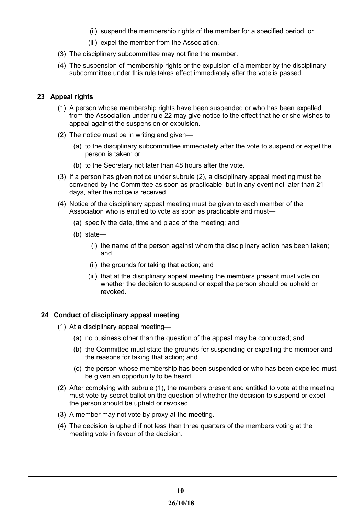- (ii) suspend the membership rights of the member for a specified period; or
- (iii) expel the member from the Association.
- (3) The disciplinary subcommittee may not fine the member.
- (4) The suspension of membership rights or the expulsion of a member by the disciplinary subcommittee under this rule takes effect immediately after the vote is passed.

# <span id="page-9-1"></span> **23 Appeal rights**

- (1) A person whose membership rights have been suspended or who has been expelled from the Association under rule 22 may give notice to the effect that he or she wishes to appeal against the suspension or expulsion.
- (2) The notice must be in writing and given—
	- (a) to the disciplinary subcommittee immediately after the vote to suspend or expel the person is taken; or
	- (b) to the Secretary not later than 48 hours after the vote.
- (3) If a person has given notice under subrule (2), a disciplinary appeal meeting must be convened by the Committee as soon as practicable, but in any event not later than 21 days, after the notice is received.
- (4) Notice of the disciplinary appeal meeting must be given to each member of the Association who is entitled to vote as soon as practicable and must—
	- (a) specify the date, time and place of the meeting; and
	- (b) state—
		- (i) the name of the person against whom the disciplinary action has been taken; and
		- (ii) the grounds for taking that action; and
		- (iii) that at the disciplinary appeal meeting the members present must vote on whether the decision to suspend or expel the person should be upheld or revoked.

# <span id="page-9-0"></span>**24 Conduct of disciplinary appeal meeting**

- (1) At a disciplinary appeal meeting—
	- (a) no business other than the question of the appeal may be conducted; and
	- (b) the Committee must state the grounds for suspending or expelling the member and the reasons for taking that action; and
	- (c) the person whose membership has been suspended or who has been expelled must be given an opportunity to be heard.
- (2) After complying with subrule (1), the members present and entitled to vote at the meeting must vote by secret ballot on the question of whether the decision to suspend or expel the person should be upheld or revoked.
- (3) A member may not vote by proxy at the meeting.
- (4) The decision is upheld if not less than three quarters of the members voting at the meeting vote in favour of the decision.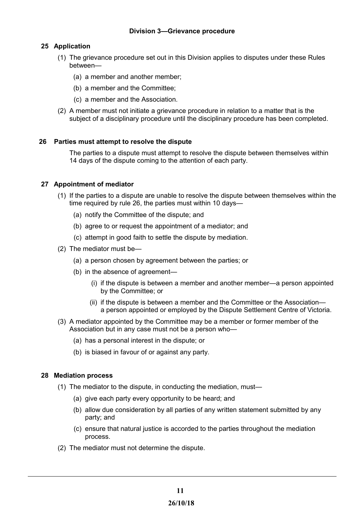# <span id="page-10-3"></span>**25 Application**

- <span id="page-10-4"></span>(1) The grievance procedure set out in this Division applies to disputes under these Rules between—
	- (a) a member and another member;
	- (b) a member and the Committee;
	- (c) a member and the Association.
- (2) A member must not initiate a grievance procedure in relation to a matter that is the subject of a disciplinary procedure until the disciplinary procedure has been completed.

## <span id="page-10-2"></span> **26 Parties must attempt to resolve the dispute**

The parties to a dispute must attempt to resolve the dispute between themselves within 14 days of the dispute coming to the attention of each party.

## <span id="page-10-1"></span>**27 Appointment of mediator**

- (1) If the parties to a dispute are unable to resolve the dispute between themselves within the time required by rule 26, the parties must within 10 days—
	- (a) notify the Committee of the dispute; and
	- (b) agree to or request the appointment of a mediator; and
	- (c) attempt in good faith to settle the dispute by mediation.
- (2) The mediator must be—
	- (a) a person chosen by agreement between the parties; or
	- (b) in the absence of agreement—
		- (i) if the dispute is between a member and another member—a person appointed by the Committee; or
		- (ii) if the dispute is between a member and the Committee or the Association a person appointed or employed by the Dispute Settlement Centre of Victoria.
- (3) A mediator appointed by the Committee may be a member or former member of the Association but in any case must not be a person who—
	- (a) has a personal interest in the dispute; or
	- (b) is biased in favour of or against any party.

#### <span id="page-10-0"></span>**28 Mediation process**

- (1) The mediator to the dispute, in conducting the mediation, must—
	- (a) give each party every opportunity to be heard; and
	- (b) allow due consideration by all parties of any written statement submitted by any party; and
	- (c) ensure that natural justice is accorded to the parties throughout the mediation process.
- (2) The mediator must not determine the dispute.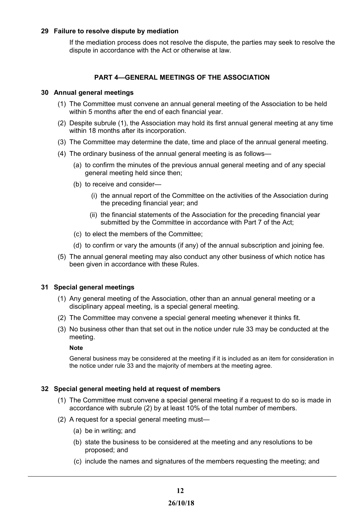# <span id="page-11-3"></span>**29 Failure to resolve dispute by mediation**

If the mediation process does not resolve the dispute, the parties may seek to resolve the dispute in accordance with the Act or otherwise at law.

# <span id="page-11-2"></span>**PART 4—GENERAL MEETINGS OF THE ASSOCIATION**

## <span id="page-11-4"></span>**30 Annual general meetings**

- (1) The Committee must convene an annual general meeting of the Association to be held within 5 months after the end of each financial year.
- (2) Despite subrule (1), the Association may hold its first annual general meeting at any time within 18 months after its incorporation.
- (3) The Committee may determine the date, time and place of the annual general meeting.
- (4) The ordinary business of the annual general meeting is as follows—
	- (a) to confirm the minutes of the previous annual general meeting and of any special general meeting held since then;
	- (b) to receive and consider—
		- (i) the annual report of the Committee on the activities of the Association during the preceding financial year; and
		- (ii) the financial statements of the Association for the preceding financial year submitted by the Committee in accordance with Part 7 of the Act;
	- (c) to elect the members of the Committee;
	- (d) to confirm or vary the amounts (if any) of the annual subscription and joining fee.
- (5) The annual general meeting may also conduct any other business of which notice has been given in accordance with these Rules.

# <span id="page-11-1"></span>**31 Special general meetings**

- (1) Any general meeting of the Association, other than an annual general meeting or a disciplinary appeal meeting, is a special general meeting.
- (2) The Committee may convene a special general meeting whenever it thinks fit.
- (3) No business other than that set out in the notice under rule 33 may be conducted at the meeting.

#### **Note**

General business may be considered at the meeting if it is included as an item for consideration in the notice under rule 33 and the majority of members at the meeting agree.

#### <span id="page-11-0"></span>**32 Special general meeting held at request of members**

- (1) The Committee must convene a special general meeting if a request to do so is made in accordance with subrule (2) by at least 10% of the total number of members.
- (2) A request for a special general meeting must—
	- (a) be in writing; and
	- (b) state the business to be considered at the meeting and any resolutions to be proposed; and
	- (c) include the names and signatures of the members requesting the meeting; and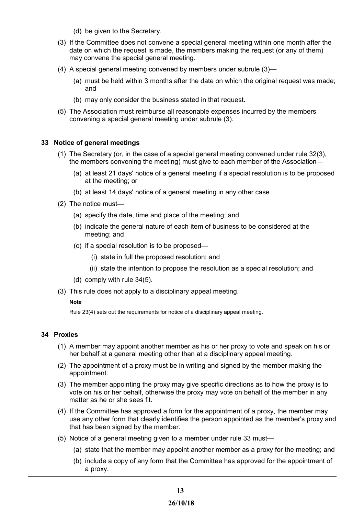- (d) be given to the Secretary.
- (3) If the Committee does not convene a special general meeting within one month after the date on which the request is made, the members making the request (or any of them) may convene the special general meeting.
- (4) A special general meeting convened by members under subrule (3)—
	- (a) must be held within 3 months after the date on which the original request was made; and
	- (b) may only consider the business stated in that request.
- (5) The Association must reimburse all reasonable expenses incurred by the members convening a special general meeting under subrule (3).

## <span id="page-12-1"></span>**33 Notice of general meetings**

- (1) The Secretary (or, in the case of a special general meeting convened under rule 32(3), the members convening the meeting) must give to each member of the Association—
	- (a) at least 21 days' notice of a general meeting if a special resolution is to be proposed at the meeting; or
	- (b) at least 14 days' notice of a general meeting in any other case.
- (2) The notice must—
	- (a) specify the date, time and place of the meeting; and
	- (b) indicate the general nature of each item of business to be considered at the meeting; and
	- (c) if a special resolution is to be proposed—
		- (i) state in full the proposed resolution; and
		- (ii) state the intention to propose the resolution as a special resolution; and
	- (d) comply with rule 34(5).
- (3) This rule does not apply to a disciplinary appeal meeting.

#### **Note**

Rule 23(4) sets out the requirements for notice of a disciplinary appeal meeting.

# <span id="page-12-0"></span>**34 Proxies**

- (1) A member may appoint another member as his or her proxy to vote and speak on his or her behalf at a general meeting other than at a disciplinary appeal meeting.
- (2) The appointment of a proxy must be in writing and signed by the member making the appointment.
- (3) The member appointing the proxy may give specific directions as to how the proxy is to vote on his or her behalf, otherwise the proxy may vote on behalf of the member in any matter as he or she sees fit.
- (4) If the Committee has approved a form for the appointment of a proxy, the member may use any other form that clearly identifies the person appointed as the member's proxy and that has been signed by the member.
- (5) Notice of a general meeting given to a member under rule 33 must—
	- (a) state that the member may appoint another member as a proxy for the meeting; and
	- (b) include a copy of any form that the Committee has approved for the appointment of a proxy.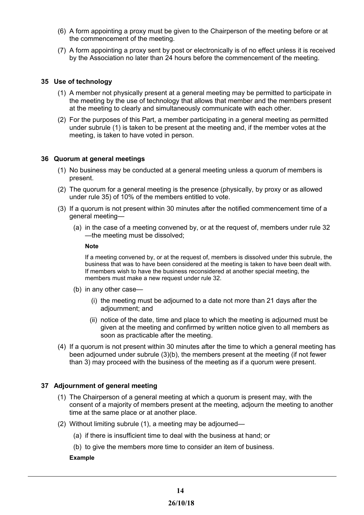- (6) A form appointing a proxy must be given to the Chairperson of the meeting before or at the commencement of the meeting.
- (7) A form appointing a proxy sent by post or electronically is of no effect unless it is received by the Association no later than 24 hours before the commencement of the meeting.

## <span id="page-13-2"></span>**35 Use of technology**

- (1) A member not physically present at a general meeting may be permitted to participate in the meeting by the use of technology that allows that member and the members present at the meeting to clearly and simultaneously communicate with each other.
- (2) For the purposes of this Part, a member participating in a general meeting as permitted under subrule (1) is taken to be present at the meeting and, if the member votes at the meeting, is taken to have voted in person.

## <span id="page-13-1"></span>**36 Quorum at general meetings**

- (1) No business may be conducted at a general meeting unless a quorum of members is present.
- (2) The quorum for a general meeting is the presence (physically, by proxy or as allowed under rule 35) of 10% of the members entitled to vote.
- (3) If a quorum is not present within 30 minutes after the notified commencement time of a general meeting—
	- (a) in the case of a meeting convened by, or at the request of, members under rule 32 —the meeting must be dissolved;

#### **Note**

If a meeting convened by, or at the request of, members is dissolved under this subrule, the business that was to have been considered at the meeting is taken to have been dealt with. If members wish to have the business reconsidered at another special meeting, the members must make a new request under rule 32.

- (b) in any other case—
	- (i) the meeting must be adjourned to a date not more than 21 days after the adjournment; and
	- (ii) notice of the date, time and place to which the meeting is adjourned must be given at the meeting and confirmed by written notice given to all members as soon as practicable after the meeting.
- (4) If a quorum is not present within 30 minutes after the time to which a general meeting has been adjourned under subrule (3)(b), the members present at the meeting (if not fewer than 3) may proceed with the business of the meeting as if a quorum were present.

# <span id="page-13-0"></span>**37 Adjournment of general meeting**

- (1) The Chairperson of a general meeting at which a quorum is present may, with the consent of a majority of members present at the meeting, adjourn the meeting to another time at the same place or at another place.
- (2) Without limiting subrule (1), a meeting may be adjourned—
	- (a) if there is insufficient time to deal with the business at hand; or
	- (b) to give the members more time to consider an item of business.

#### **Example**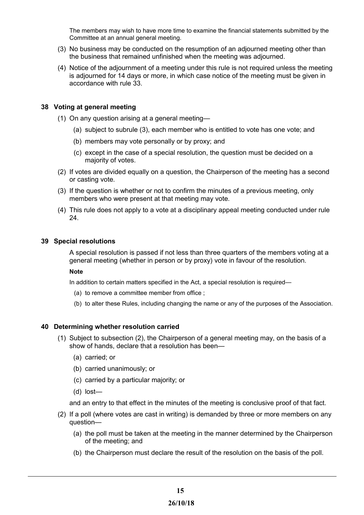The members may wish to have more time to examine the financial statements submitted by the Committee at an annual general meeting.

- (3) No business may be conducted on the resumption of an adjourned meeting other than the business that remained unfinished when the meeting was adjourned.
- (4) Notice of the adjournment of a meeting under this rule is not required unless the meeting is adjourned for 14 days or more, in which case notice of the meeting must be given in accordance with rule 33.

## <span id="page-14-2"></span>**38 Voting at general meeting**

- (1) On any question arising at a general meeting—
	- (a) subject to subrule (3), each member who is entitled to vote has one vote; and
	- (b) members may vote personally or by proxy; and
	- (c) except in the case of a special resolution, the question must be decided on a majority of votes.
- (2) If votes are divided equally on a question, the Chairperson of the meeting has a second or casting vote.
- (3) If the question is whether or not to confirm the minutes of a previous meeting, only members who were present at that meeting may vote.
- (4) This rule does not apply to a vote at a disciplinary appeal meeting conducted under rule 24.

#### <span id="page-14-1"></span>**39 Special resolutions**

A special resolution is passed if not less than three quarters of the members voting at a general meeting (whether in person or by proxy) vote in favour of the resolution.

**Note**

In addition to certain matters specified in the Act, a special resolution is required—

- (a) to remove a committee member from office ;
- (b) to alter these Rules, including changing the name or any of the purposes of the Association.

#### <span id="page-14-0"></span>**40 Determining whether resolution carried**

- (1) Subject to subsection (2), the Chairperson of a general meeting may, on the basis of a show of hands, declare that a resolution has been—
	- (a) carried; or
	- (b) carried unanimously; or
	- (c) carried by a particular majority; or
	- (d) lost—

and an entry to that effect in the minutes of the meeting is conclusive proof of that fact.

- (2) If a poll (where votes are cast in writing) is demanded by three or more members on any question—
	- (a) the poll must be taken at the meeting in the manner determined by the Chairperson of the meeting; and
	- (b) the Chairperson must declare the result of the resolution on the basis of the poll.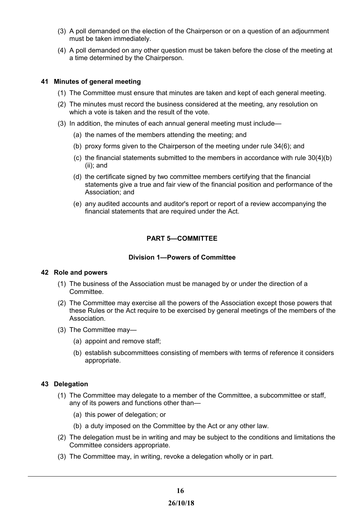- (3) A poll demanded on the election of the Chairperson or on a question of an adjournment must be taken immediately.
- (4) A poll demanded on any other question must be taken before the close of the meeting at a time determined by the Chairperson.

## <span id="page-15-0"></span>**41 Minutes of general meeting**

- (1) The Committee must ensure that minutes are taken and kept of each general meeting.
- (2) The minutes must record the business considered at the meeting, any resolution on which a vote is taken and the result of the vote.
- (3) In addition, the minutes of each annual general meeting must include—
	- (a) the names of the members attending the meeting; and
	- (b) proxy forms given to the Chairperson of the meeting under rule 34(6); and
	- (c) the financial statements submitted to the members in accordance with rule 30(4)(b) (ii); and
	- (d) the certificate signed by two committee members certifying that the financial statements give a true and fair view of the financial position and performance of the Association; and
	- (e) any audited accounts and auditor's report or report of a review accompanying the financial statements that are required under the Act.

# <span id="page-15-4"></span>**PART 5—COMMITTEE**

# <span id="page-15-3"></span>**Division 1—Powers of Committee**

#### <span id="page-15-2"></span>**42 Role and powers**

- (1) The business of the Association must be managed by or under the direction of a Committee.
- (2) The Committee may exercise all the powers of the Association except those powers that these Rules or the Act require to be exercised by general meetings of the members of the Association.
- (3) The Committee may—
	- (a) appoint and remove staff;
	- (b) establish subcommittees consisting of members with terms of reference it considers appropriate.

# <span id="page-15-1"></span>**43 Delegation**

- (1) The Committee may delegate to a member of the Committee, a subcommittee or staff, any of its powers and functions other than—
	- (a) this power of delegation; or
	- (b) a duty imposed on the Committee by the Act or any other law.
- (2) The delegation must be in writing and may be subject to the conditions and limitations the Committee considers appropriate.
- (3) The Committee may, in writing, revoke a delegation wholly or in part.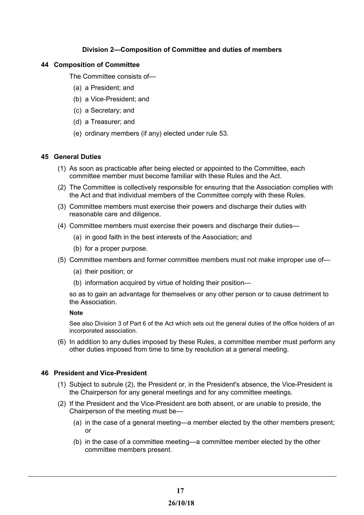# <span id="page-16-3"></span>**Division 2—Composition of Committee and duties of members**

## <span id="page-16-2"></span>**44 Composition of Committee**

The Committee consists of—

- (a) a President; and
- (b) a Vice-President; and
- (c) a Secretary; and
- (d) a Treasurer; and
- (e) ordinary members (if any) elected under rule 53.

## <span id="page-16-1"></span>**45 General Duties**

- (1) As soon as practicable after being elected or appointed to the Committee, each committee member must become familiar with these Rules and the Act.
- (2) The Committee is collectively responsible for ensuring that the Association complies with the Act and that individual members of the Committee comply with these Rules.
- (3) Committee members must exercise their powers and discharge their duties with reasonable care and diligence.
- (4) Committee members must exercise their powers and discharge their duties—
	- (a) in good faith in the best interests of the Association; and
	- (b) for a proper purpose.
- (5) Committee members and former committee members must not make improper use of—
	- (a) their position; or
	- (b) information acquired by virtue of holding their position—

so as to gain an advantage for themselves or any other person or to cause detriment to the Association.

#### **Note**

See also Division 3 of Part 6 of the Act which sets out the general duties of the office holders of an incorporated association.

(6) In addition to any duties imposed by these Rules, a committee member must perform any other duties imposed from time to time by resolution at a general meeting.

# <span id="page-16-0"></span>**46 President and Vice-President**

- (1) Subject to subrule (2), the President or, in the President's absence, the Vice-President is the Chairperson for any general meetings and for any committee meetings.
- (2) If the President and the Vice-President are both absent, or are unable to preside, the Chairperson of the meeting must be—
	- (a) in the case of a general meeting—a member elected by the other members present; or
	- (b) in the case of a committee meeting—a committee member elected by the other committee members present.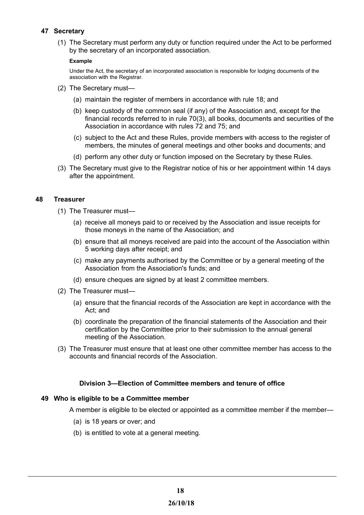# <span id="page-17-3"></span>**47 Secretary**

(1) The Secretary must perform any duty or function required under the Act to be performed by the secretary of an incorporated association.

#### **Example**

Under the Act, the secretary of an incorporated association is responsible for lodging documents of the association with the Registrar.

- (2) The Secretary must—
	- (a) maintain the register of members in accordance with rule 18; and
	- (b) keep custody of the common seal (if any) of the Association and, except for the financial records referred to in rule 70(3), all books, documents and securities of the Association in accordance with rules 72 and 75; and
	- (c) subject to the Act and these Rules, provide members with access to the register of members, the minutes of general meetings and other books and documents; and
	- (d) perform any other duty or function imposed on the Secretary by these Rules.
- (3) The Secretary must give to the Registrar notice of his or her appointment within 14 days after the appointment.

# <span id="page-17-2"></span> **48 Treasurer**

- (1) The Treasurer must—
	- (a) receive all moneys paid to or received by the Association and issue receipts for those moneys in the name of the Association; and
	- (b) ensure that all moneys received are paid into the account of the Association within 5 working days after receipt; and
	- (c) make any payments authorised by the Committee or by a general meeting of the Association from the Association's funds; and
	- (d) ensure cheques are signed by at least 2 committee members.
- (2) The Treasurer must—
	- (a) ensure that the financial records of the Association are kept in accordance with the Act; and
	- (b) coordinate the preparation of the financial statements of the Association and their certification by the Committee prior to their submission to the annual general meeting of the Association.
- (3) The Treasurer must ensure that at least one other committee member has access to the accounts and financial records of the Association.

# <span id="page-17-1"></span>**Division 3—Election of Committee members and tenure of office**

# <span id="page-17-0"></span>**49 Who is eligible to be a Committee member**

A member is eligible to be elected or appointed as a committee member if the member—

- (a) is 18 years or over; and
- (b) is entitled to vote at a general meeting.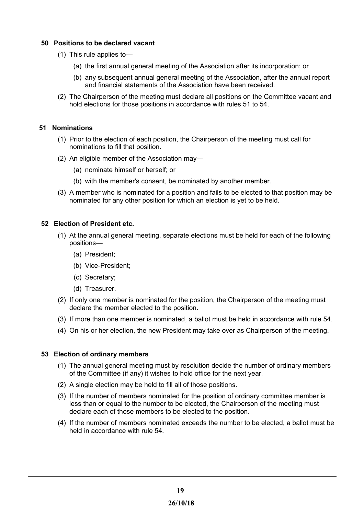# <span id="page-18-3"></span>**50 Positions to be declared vacant**

- (1) This rule applies to—
	- (a) the first annual general meeting of the Association after its incorporation; or
	- (b) any subsequent annual general meeting of the Association, after the annual report and financial statements of the Association have been received.
- (2) The Chairperson of the meeting must declare all positions on the Committee vacant and hold elections for those positions in accordance with rules 51 to 54.

## <span id="page-18-2"></span> **51 Nominations**

- (1) Prior to the election of each position, the Chairperson of the meeting must call for nominations to fill that position.
- (2) An eligible member of the Association may—
	- (a) nominate himself or herself; or
	- (b) with the member's consent, be nominated by another member.
- (3) A member who is nominated for a position and fails to be elected to that position may be nominated for any other position for which an election is yet to be held.

## <span id="page-18-1"></span>**52 Election of President etc.**

- (1) At the annual general meeting, separate elections must be held for each of the following positions—
	- (a) President;
	- (b) Vice-President;
	- (c) Secretary;
	- (d) Treasurer.
- (2) If only one member is nominated for the position, the Chairperson of the meeting must declare the member elected to the position.
- (3) If more than one member is nominated, a ballot must be held in accordance with rule 54.
- (4) On his or her election, the new President may take over as Chairperson of the meeting.

#### <span id="page-18-0"></span>**53 Election of ordinary members**

- (1) The annual general meeting must by resolution decide the number of ordinary members of the Committee (if any) it wishes to hold office for the next year.
- (2) A single election may be held to fill all of those positions.
- (3) If the number of members nominated for the position of ordinary committee member is less than or equal to the number to be elected, the Chairperson of the meeting must declare each of those members to be elected to the position.
- (4) If the number of members nominated exceeds the number to be elected, a ballot must be held in accordance with rule 54.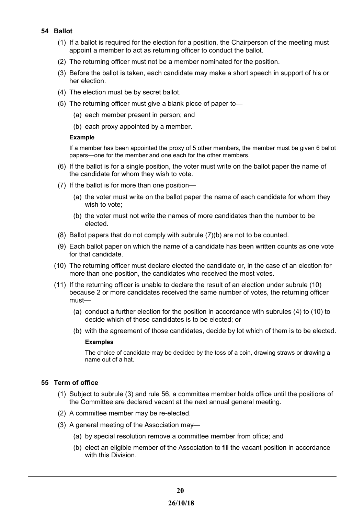# <span id="page-19-1"></span>**54 Ballot**

- (1) If a ballot is required for the election for a position, the Chairperson of the meeting must appoint a member to act as returning officer to conduct the ballot.
- (2) The returning officer must not be a member nominated for the position.
- (3) Before the ballot is taken, each candidate may make a short speech in support of his or her election.
- (4) The election must be by secret ballot.
- (5) The returning officer must give a blank piece of paper to—
	- (a) each member present in person; and
	- (b) each proxy appointed by a member.

## **Example**

If a member has been appointed the proxy of 5 other members, the member must be given 6 ballot papers—one for the member and one each for the other members.

- (6) If the ballot is for a single position, the voter must write on the ballot paper the name of the candidate for whom they wish to vote.
- (7) If the ballot is for more than one position—
	- (a) the voter must write on the ballot paper the name of each candidate for whom they wish to vote;
	- (b) the voter must not write the names of more candidates than the number to be elected.
- (8) Ballot papers that do not comply with subrule (7)(b) are not to be counted.
- (9) Each ballot paper on which the name of a candidate has been written counts as one vote for that candidate.
- (10) The returning officer must declare elected the candidate or, in the case of an election for more than one position, the candidates who received the most votes.
- (11) If the returning officer is unable to declare the result of an election under subrule (10) because 2 or more candidates received the same number of votes, the returning officer must—
	- (a) conduct a further election for the position in accordance with subrules (4) to (10) to decide which of those candidates is to be elected; or
	- (b) with the agreement of those candidates, decide by lot which of them is to be elected.

#### **Examples**

The choice of candidate may be decided by the toss of a coin, drawing straws or drawing a name out of a hat.

# <span id="page-19-0"></span>**55 Term of office**

- (1) Subject to subrule (3) and rule 56, a committee member holds office until the positions of the Committee are declared vacant at the next annual general meeting.
- (2) A committee member may be re-elected.
- (3) A general meeting of the Association may—
	- (a) by special resolution remove a committee member from office; and
	- (b) elect an eligible member of the Association to fill the vacant position in accordance with this Division.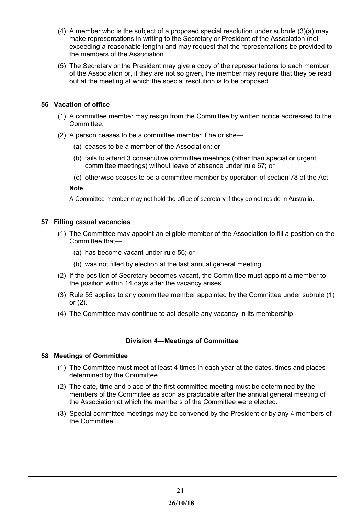- (4) A member who is the subject of a proposed special resolution under subrule (3)(a) may make representations in writing to the Secretary or President of the Association (not exceeding a reasonable length) and may request that the representations be provided to the members of the Association.
- (5) The Secretary or the President may give a copy of the representations to each member of the Association or, if they are not so given, the member may require that they be read out at the meeting at which the special resolution is to be proposed.

# <span id="page-20-3"></span>**56 Vacation of office**

- (1) A committee member may resign from the Committee by written notice addressed to the Committee.
- (2) A person ceases to be a committee member if he or she—
	- (a) ceases to be a member of the Association; or
	- (b) fails to attend 3 consecutive committee meetings (other than special or urgent committee meetings) without leave of absence under rule 67; or
	- (c) otherwise ceases to be a committee member by operation of section 78 of the Act.

#### **Note**

A Committee member may not hold the office of secretary if they do not reside in Australia.

## <span id="page-20-2"></span>**57 Filling casual vacancies**

- (1) The Committee may appoint an eligible member of the Association to fill a position on the Committee that—
	- (a) has become vacant under rule 56; or
	- (b) was not filled by election at the last annual general meeting.
- (2) If the position of Secretary becomes vacant, the Committee must appoint a member to the position within 14 days after the vacancy arises.
- (3) Rule 55 applies to any committee member appointed by the Committee under subrule (1) or (2).
- (4) The Committee may continue to act despite any vacancy in its membership.

# <span id="page-20-1"></span>**Division 4—Meetings of Committee**

#### <span id="page-20-0"></span>**58 Meetings of Committee**

- (1) The Committee must meet at least 4 times in each year at the dates, times and places determined by the Committee.
- (2) The date, time and place of the first committee meeting must be determined by the members of the Committee as soon as practicable after the annual general meeting of the Association at which the members of the Committee were elected.
- (3) Special committee meetings may be convened by the President or by any 4 members of the Committee.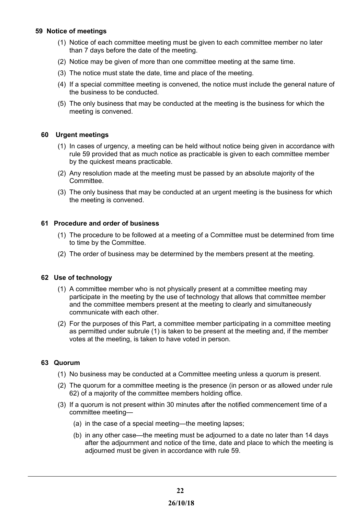# <span id="page-21-4"></span> **59 Notice of meetings**

- (1) Notice of each committee meeting must be given to each committee member no later than 7 days before the date of the meeting.
- (2) Notice may be given of more than one committee meeting at the same time.
- (3) The notice must state the date, time and place of the meeting.
- (4) If a special committee meeting is convened, the notice must include the general nature of the business to be conducted.
- (5) The only business that may be conducted at the meeting is the business for which the meeting is convened.

# <span id="page-21-3"></span> **60 Urgent meetings**

- (1) In cases of urgency, a meeting can be held without notice being given in accordance with rule 59 provided that as much notice as practicable is given to each committee member by the quickest means practicable.
- (2) Any resolution made at the meeting must be passed by an absolute majority of the Committee.
- (3) The only business that may be conducted at an urgent meeting is the business for which the meeting is convened.

## <span id="page-21-2"></span>**61 Procedure and order of business**

- (1) The procedure to be followed at a meeting of a Committee must be determined from time to time by the Committee.
- (2) The order of business may be determined by the members present at the meeting.

#### <span id="page-21-1"></span>**62 Use of technology**

- (1) A committee member who is not physically present at a committee meeting may participate in the meeting by the use of technology that allows that committee member and the committee members present at the meeting to clearly and simultaneously communicate with each other.
- (2) For the purposes of this Part, a committee member participating in a committee meeting as permitted under subrule (1) is taken to be present at the meeting and, if the member votes at the meeting, is taken to have voted in person.

#### <span id="page-21-0"></span>**63 Quorum**

- (1) No business may be conducted at a Committee meeting unless a quorum is present.
- (2) The quorum for a committee meeting is the presence (in person or as allowed under rule 62) of a majority of the committee members holding office.
- (3) If a quorum is not present within 30 minutes after the notified commencement time of a committee meeting—
	- (a) in the case of a special meeting—the meeting lapses;
	- (b) in any other case—the meeting must be adjourned to a date no later than 14 days after the adjournment and notice of the time, date and place to which the meeting is adjourned must be given in accordance with rule 59.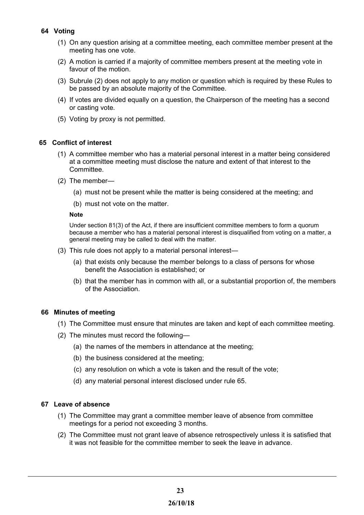# <span id="page-22-4"></span>**64 Voting**

- (1) On any question arising at a committee meeting, each committee member present at the meeting has one vote.
- (2) A motion is carried if a majority of committee members present at the meeting vote in favour of the motion.
- (3) Subrule (2) does not apply to any motion or question which is required by these Rules to be passed by an absolute majority of the Committee.
- (4) If votes are divided equally on a question, the Chairperson of the meeting has a second or casting vote.
- (5) Voting by proxy is not permitted.

# <span id="page-22-3"></span> **65 Conflict of interest**

- (1) A committee member who has a material personal interest in a matter being considered at a committee meeting must disclose the nature and extent of that interest to the Committee.
- (2) The member—
	- (a) must not be present while the matter is being considered at the meeting; and
	- (b) must not vote on the matter.

#### **Note**

Under section 81(3) of the Act, if there are insufficient committee members to form a quorum because a member who has a material personal interest is disqualified from voting on a matter, a general meeting may be called to deal with the matter.

- (3) This rule does not apply to a material personal interest—
	- (a) that exists only because the member belongs to a class of persons for whose benefit the Association is established; or
	- (b) that the member has in common with all, or a substantial proportion of, the members of the Association.

#### <span id="page-22-2"></span>**66 Minutes of meeting**

- (1) The Committee must ensure that minutes are taken and kept of each committee meeting.
- (2) The minutes must record the following—
	- (a) the names of the members in attendance at the meeting;
	- (b) the business considered at the meeting;
	- (c) any resolution on which a vote is taken and the result of the vote;
	- (d) any material personal interest disclosed under rule 65.

# <span id="page-22-1"></span>**67 Leave of absence**

- (1) The Committee may grant a committee member leave of absence from committee meetings for a period not exceeding 3 months.
- <span id="page-22-0"></span>(2) The Committee must not grant leave of absence retrospectively unless it is satisfied that it was not feasible for the committee member to seek the leave in advance.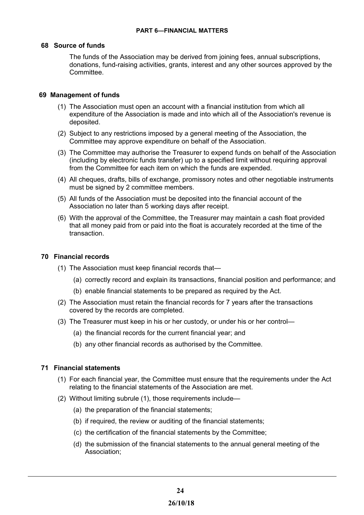# <span id="page-23-3"></span>**68 Source of funds**

The funds of the Association may be derived from joining fees, annual subscriptions, donations, fund-raising activities, grants, interest and any other sources approved by the **Committee.** 

# <span id="page-23-2"></span> **69 Management of funds**

- (1) The Association must open an account with a financial institution from which all expenditure of the Association is made and into which all of the Association's revenue is deposited.
- (2) Subject to any restrictions imposed by a general meeting of the Association, the Committee may approve expenditure on behalf of the Association.
- (3) The Committee may authorise the Treasurer to expend funds on behalf of the Association (including by electronic funds transfer) up to a specified limit without requiring approval from the Committee for each item on which the funds are expended.
- (4) All cheques, drafts, bills of exchange, promissory notes and other negotiable instruments must be signed by 2 committee members.
- (5) All funds of the Association must be deposited into the financial account of the Association no later than 5 working days after receipt.
- (6) With the approval of the Committee, the Treasurer may maintain a cash float provided that all money paid from or paid into the float is accurately recorded at the time of the transaction.

#### <span id="page-23-1"></span>**70 Financial records**

- (1) The Association must keep financial records that—
	- (a) correctly record and explain its transactions, financial position and performance; and
	- (b) enable financial statements to be prepared as required by the Act.
- (2) The Association must retain the financial records for 7 years after the transactions covered by the records are completed.
- (3) The Treasurer must keep in his or her custody, or under his or her control—
	- (a) the financial records for the current financial year; and
	- (b) any other financial records as authorised by the Committee.

# <span id="page-23-0"></span>**71 Financial statements**

- (1) For each financial year, the Committee must ensure that the requirements under the Act relating to the financial statements of the Association are met.
- (2) Without limiting subrule (1), those requirements include—
	- (a) the preparation of the financial statements;
	- (b) if required, the review or auditing of the financial statements;
	- (c) the certification of the financial statements by the Committee;
	- (d) the submission of the financial statements to the annual general meeting of the Association;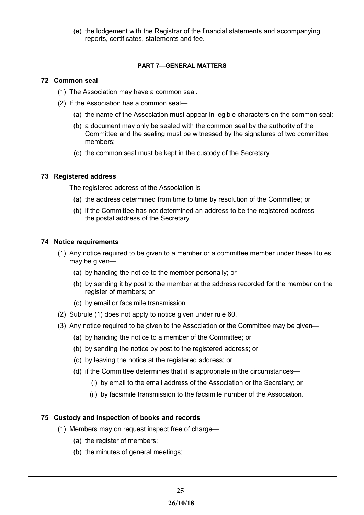(e) the lodgement with the Registrar of the financial statements and accompanying reports, certificates, statements and fee.

## <span id="page-24-4"></span>**PART 7—GENERAL MATTERS**

## <span id="page-24-3"></span>**72 Common seal**

- (1) The Association may have a common seal.
- (2) If the Association has a common seal—
	- (a) the name of the Association must appear in legible characters on the common seal;
	- (b) a document may only be sealed with the common seal by the authority of the Committee and the sealing must be witnessed by the signatures of two committee members;
	- (c) the common seal must be kept in the custody of the Secretary.

# <span id="page-24-2"></span>**73 Registered address**

The registered address of the Association is—

- (a) the address determined from time to time by resolution of the Committee; or
- (b) if the Committee has not determined an address to be the registered address the postal address of the Secretary.

## <span id="page-24-1"></span>**74 Notice requirements**

- (1) Any notice required to be given to a member or a committee member under these Rules may be given—
	- (a) by handing the notice to the member personally; or
	- (b) by sending it by post to the member at the address recorded for the member on the register of members; or
	- (c) by email or facsimile transmission.
- (2) Subrule (1) does not apply to notice given under rule 60.
- (3) Any notice required to be given to the Association or the Committee may be given—
	- (a) by handing the notice to a member of the Committee; or
	- (b) by sending the notice by post to the registered address; or
	- (c) by leaving the notice at the registered address; or
	- (d) if the Committee determines that it is appropriate in the circumstances—
		- (i) by email to the email address of the Association or the Secretary; or
		- (ii) by facsimile transmission to the facsimile number of the Association.

# <span id="page-24-0"></span>**75 Custody and inspection of books and records**

- (1) Members may on request inspect free of charge—
	- (a) the register of members;
	- (b) the minutes of general meetings;